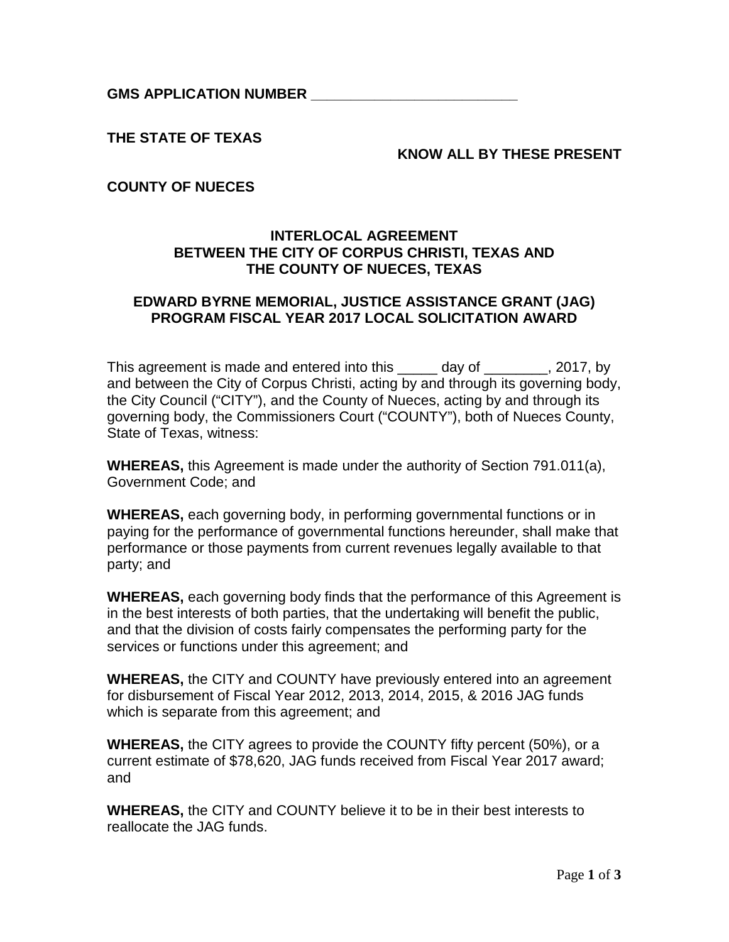**GMS APPLICATION NUMBER \_\_\_\_\_\_\_\_\_\_\_\_\_\_\_\_\_\_\_\_\_\_\_\_\_\_**

**THE STATE OF TEXAS**

### **KNOW ALL BY THESE PRESENT**

## **COUNTY OF NUECES**

## **INTERLOCAL AGREEMENT BETWEEN THE CITY OF CORPUS CHRISTI, TEXAS AND THE COUNTY OF NUECES, TEXAS**

### **EDWARD BYRNE MEMORIAL, JUSTICE ASSISTANCE GRANT (JAG) PROGRAM FISCAL YEAR 2017 LOCAL SOLICITATION AWARD**

This agreement is made and entered into this day of the same of  $\sim$  2017, by and between the City of Corpus Christi, acting by and through its governing body, the City Council ("CITY"), and the County of Nueces, acting by and through its governing body, the Commissioners Court ("COUNTY"), both of Nueces County, State of Texas, witness:

**WHEREAS,** this Agreement is made under the authority of Section 791.011(a), Government Code; and

**WHEREAS,** each governing body, in performing governmental functions or in paying for the performance of governmental functions hereunder, shall make that performance or those payments from current revenues legally available to that party; and

**WHEREAS,** each governing body finds that the performance of this Agreement is in the best interests of both parties, that the undertaking will benefit the public, and that the division of costs fairly compensates the performing party for the services or functions under this agreement; and

**WHEREAS,** the CITY and COUNTY have previously entered into an agreement for disbursement of Fiscal Year 2012, 2013, 2014, 2015, & 2016 JAG funds which is separate from this agreement; and

**WHEREAS,** the CITY agrees to provide the COUNTY fifty percent (50%), or a current estimate of \$78,620, JAG funds received from Fiscal Year 2017 award; and

**WHEREAS,** the CITY and COUNTY believe it to be in their best interests to reallocate the JAG funds.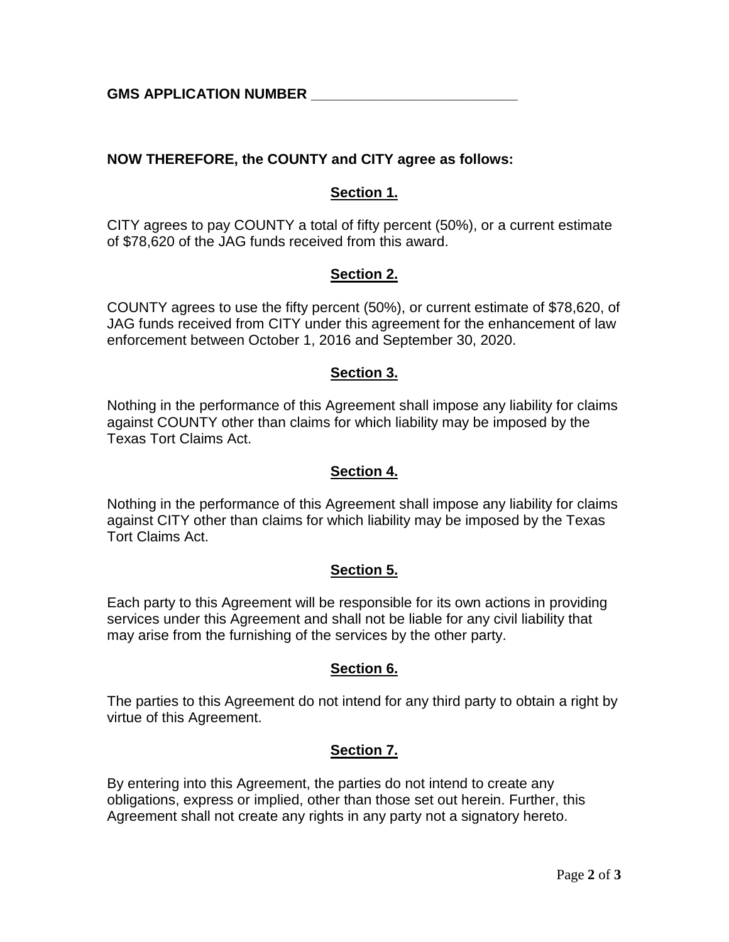**GMS APPLICATION NUMBER \_\_\_\_\_\_\_\_\_\_\_\_\_\_\_\_\_\_\_\_\_\_\_\_\_\_**

# **NOW THEREFORE, the COUNTY and CITY agree as follows:**

# **Section 1.**

CITY agrees to pay COUNTY a total of fifty percent (50%), or a current estimate of \$78,620 of the JAG funds received from this award.

## **Section 2.**

COUNTY agrees to use the fifty percent (50%), or current estimate of \$78,620, of JAG funds received from CITY under this agreement for the enhancement of law enforcement between October 1, 2016 and September 30, 2020.

## **Section 3.**

Nothing in the performance of this Agreement shall impose any liability for claims against COUNTY other than claims for which liability may be imposed by the Texas Tort Claims Act.

#### **Section 4.**

Nothing in the performance of this Agreement shall impose any liability for claims against CITY other than claims for which liability may be imposed by the Texas Tort Claims Act.

#### **Section 5.**

Each party to this Agreement will be responsible for its own actions in providing services under this Agreement and shall not be liable for any civil liability that may arise from the furnishing of the services by the other party.

#### **Section 6.**

The parties to this Agreement do not intend for any third party to obtain a right by virtue of this Agreement.

# **Section 7.**

By entering into this Agreement, the parties do not intend to create any obligations, express or implied, other than those set out herein. Further, this Agreement shall not create any rights in any party not a signatory hereto.